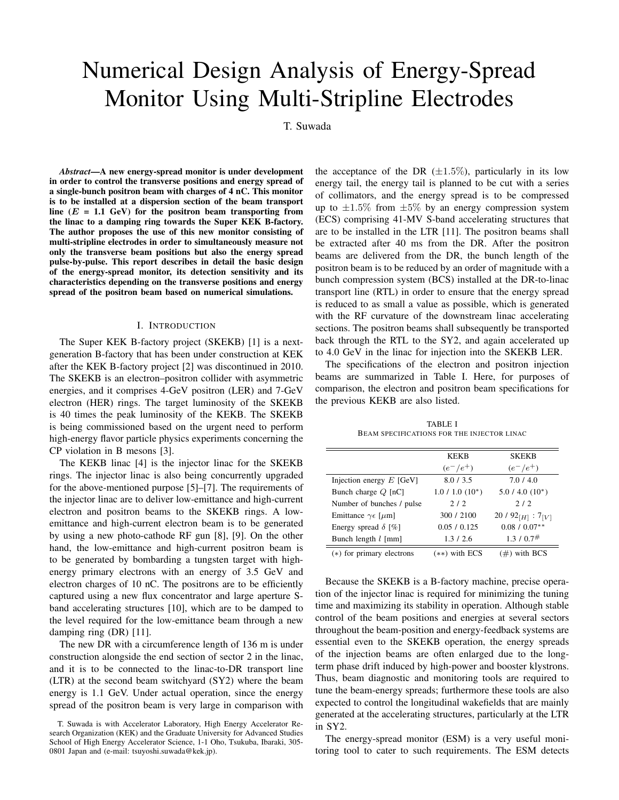# Numerical Design Analysis of Energy-Spread Monitor Using Multi-Stripline Electrodes

T. Suwada

*Abstract*—A new energy-spread monitor is under development in order to control the transverse positions and energy spread of a single-bunch positron beam with charges of 4 nC. This monitor is to be installed at a dispersion section of the beam transport line  $(E = 1.1 \text{ GeV})$  for the positron beam transporting from the linac to a damping ring towards the Super KEK B-factory. The author proposes the use of this new monitor consisting of multi-stripline electrodes in order to simultaneously measure not only the transverse beam positions but also the energy spread pulse-by-pulse. This report describes in detail the basic design of the energy-spread monitor, its detection sensitivity and its characteristics depending on the transverse positions and energy spread of the positron beam based on numerical simulations.

## I. INTRODUCTION

The Super KEK B-factory project (SKEKB) [1] is a nextgeneration B-factory that has been under construction at KEK after the KEK B-factory project [2] was discontinued in 2010. The SKEKB is an electron–positron collider with asymmetric energies, and it comprises 4-GeV positron (LER) and 7-GeV electron (HER) rings. The target luminosity of the SKEKB is 40 times the peak luminosity of the KEKB. The SKEKB is being commissioned based on the urgent need to perform high-energy flavor particle physics experiments concerning the CP violation in B mesons [3].

The KEKB linac [4] is the injector linac for the SKEKB rings. The injector linac is also being concurrently upgraded for the above-mentioned purpose [5]–[7]. The requirements of the injector linac are to deliver low-emittance and high-current electron and positron beams to the SKEKB rings. A lowemittance and high-current electron beam is to be generated by using a new photo-cathode RF gun [8], [9]. On the other hand, the low-emittance and high-current positron beam is to be generated by bombarding a tungsten target with highenergy primary electrons with an energy of 3.5 GeV and electron charges of 10 nC. The positrons are to be efficiently captured using a new flux concentrator and large aperture Sband accelerating structures [10], which are to be damped to the level required for the low-emittance beam through a new damping ring (DR) [11].

The new DR with a circumference length of 136 m is under construction alongside the end section of sector 2 in the linac, and it is to be connected to the linac-to-DR transport line (LTR) at the second beam switchyard (SY2) where the beam energy is 1.1 GeV. Under actual operation, since the energy spread of the positron beam is very large in comparison with the acceptance of the DR  $(\pm 1.5\%)$ , particularly in its low energy tail, the energy tail is planned to be cut with a series of collimators, and the energy spread is to be compressed up to *±*1*.*5% from *±*5% by an energy compression system (ECS) comprising 41-MV S-band accelerating structures that are to be installed in the LTR [11]. The positron beams shall be extracted after 40 ms from the DR. After the positron beams are delivered from the DR, the bunch length of the positron beam is to be reduced by an order of magnitude with a bunch compression system (BCS) installed at the DR-to-linac transport line (RTL) in order to ensure that the energy spread is reduced to as small a value as possible, which is generated with the RF curvature of the downstream linac accelerating sections. The positron beams shall subsequently be transported back through the RTL to the SY2, and again accelerated up to 4.0 GeV in the linac for injection into the SKEKB LER.

The specifications of the electron and positron injection beams are summarized in Table I. Here, for purposes of comparison, the electron and positron beam specifications for the previous KEKB are also listed.

TABLE I BEAM SPECIFICATIONS FOR THE INJECTOR LINAC

|                                | <b>KEKB</b>        | <b>SKEKB</b>                  |
|--------------------------------|--------------------|-------------------------------|
|                                | $(e^-/e^+)$        | $(e^-/e^+)$                   |
| Injection energy $E$ [GeV]     | 8.0 / 3.5          | 7.0/4.0                       |
| Bunch charge $Q$ [nC]          | $1.0 / 1.0 (10^*)$ | $5.0 / 4.0 (10^*)$            |
| Number of bunches / pulse      | 2/2                | 2/2                           |
| Emittance $\gamma \in [\mu m]$ | 300 / 2100         | 20 / 92 $_{[H]}$ : 7 $_{[V]}$ |
| Energy spread $\delta$ [%]     | 0.05 / 0.125       | $0.08 / 0.07***$              |
| Bunch length $l$ [mm]          | 1.3/2.6            | 1.3/0.7#                      |
| (*) for primary electrons      | $(**)$ with ECS    | $(\#)$ with BCS               |

Because the SKEKB is a B-factory machine, precise operation of the injector linac is required for minimizing the tuning time and maximizing its stability in operation. Although stable control of the beam positions and energies at several sectors throughout the beam-position and energy-feedback systems are essential even to the SKEKB operation, the energy spreads of the injection beams are often enlarged due to the longterm phase drift induced by high-power and booster klystrons. Thus, beam diagnostic and monitoring tools are required to tune the beam-energy spreads; furthermore these tools are also expected to control the longitudinal wakefields that are mainly generated at the accelerating structures, particularly at the LTR in SY2.

The energy-spread monitor (ESM) is a very useful monitoring tool to cater to such requirements. The ESM detects

T. Suwada is with Accelerator Laboratory, High Energy Accelerator Research Organization (KEK) and the Graduate University for Advanced Studies School of High Energy Accelerator Science, 1-1 Oho, Tsukuba, Ibaraki, 305- 0801 Japan and (e-mail: tsuyoshi.suwada@kek.jp).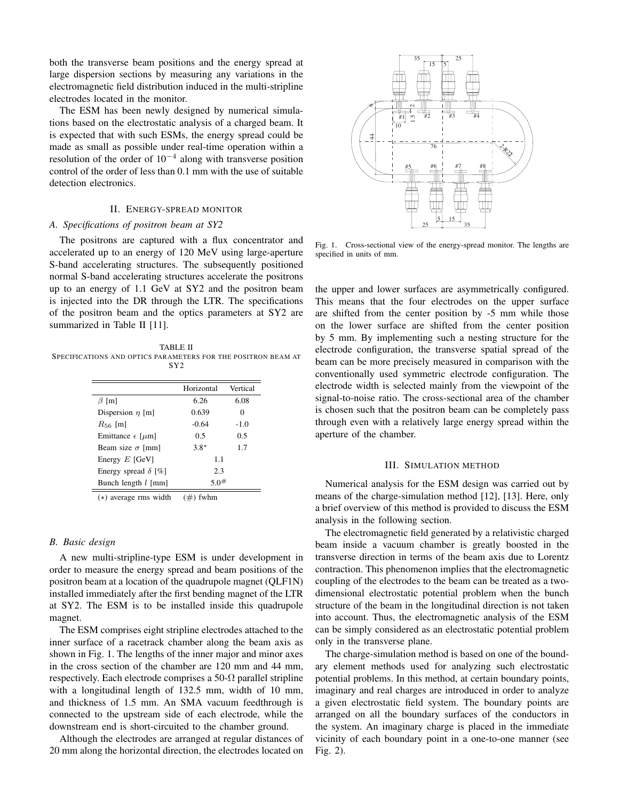both the transverse beam positions and the energy spread at large dispersion sections by measuring any variations in the electromagnetic field distribution induced in the multi-stripline electrodes located in the monitor.

The ESM has been newly designed by numerical simulations based on the electrostatic analysis of a charged beam. It is expected that with such ESMs, the energy spread could be made as small as possible under real-time operation within a resolution of the order of 10*−*<sup>4</sup> along with transverse position control of the order of less than 0.1 mm with the use of suitable detection electronics.

# II. ENERGY-SPREAD MONITOR

# *A. Specifications of positron beam at SY2*

The positrons are captured with a flux concentrator and accelerated up to an energy of 120 MeV using large-aperture S-band accelerating structures. The subsequently positioned normal S-band accelerating structures accelerate the positrons up to an energy of 1.1 GeV at SY2 and the positron beam is injected into the DR through the LTR. The specifications of the positron beam and the optics parameters at SY2 are summarized in Table II [11].

TABLE II SPECIFICATIONS AND OPTICS PARAMETERS FOR THE POSITRON BEAM AT SY2

|                                 | Horizontal  | Vertical |
|---------------------------------|-------------|----------|
| $\beta$ [m]                     | 6.26        | 6.08     |
| Dispersion $\eta$ [m]           | 0.639       | 0        |
| $R_{56}$ [m]                    | $-0.64$     | $-1.0$   |
| Emittance $\epsilon$ [ $\mu$ m] | 0.5         | 0.5      |
| Beam size $\sigma$ [mm]         | $3.8*$      | 1.7      |
| Energy $E$ [GeV]                | 1.1         |          |
| Energy spread $\delta$ [%]      | 2.3         |          |
| Bunch length $l$ [mm]           | $5.0^{#}$   |          |
|                                 | $(1)$ $(1)$ |          |

(*∗*) average rms width (#) fwhm

# *B. Basic design*

A new multi-stripline-type ESM is under development in order to measure the energy spread and beam positions of the positron beam at a location of the quadrupole magnet (QLF1N) installed immediately after the first bending magnet of the LTR at SY2. The ESM is to be installed inside this quadrupole magnet.

The ESM comprises eight stripline electrodes attached to the inner surface of a racetrack chamber along the beam axis as shown in Fig. 1. The lengths of the inner major and minor axes in the cross section of the chamber are 120 mm and 44 mm, respectively. Each electrode comprises a 50- $\Omega$  parallel stripline with a longitudinal length of 132.5 mm, width of 10 mm, and thickness of 1.5 mm. An SMA vacuum feedthrough is connected to the upstream side of each electrode, while the downstream end is short-circuited to the chamber ground.

Although the electrodes are arranged at regular distances of 20 mm along the horizontal direction, the electrodes located on



Fig. 1. Cross-sectional view of the energy-spread monitor. The lengths are specified in units of mm.

the upper and lower surfaces are asymmetrically configured. This means that the four electrodes on the upper surface are shifted from the center position by -5 mm while those on the lower surface are shifted from the center position by 5 mm. By implementing such a nesting structure for the electrode configuration, the transverse spatial spread of the beam can be more precisely measured in comparison with the conventionally used symmetric electrode configuration. The electrode width is selected mainly from the viewpoint of the signal-to-noise ratio. The cross-sectional area of the chamber is chosen such that the positron beam can be completely pass through even with a relatively large energy spread within the aperture of the chamber.

# III. SIMULATION METHOD

Numerical analysis for the ESM design was carried out by means of the charge-simulation method [12], [13]. Here, only a brief overview of this method is provided to discuss the ESM analysis in the following section.

The electromagnetic field generated by a relativistic charged beam inside a vacuum chamber is greatly boosted in the transverse direction in terms of the beam axis due to Lorentz contraction. This phenomenon implies that the electromagnetic coupling of the electrodes to the beam can be treated as a twodimensional electrostatic potential problem when the bunch structure of the beam in the longitudinal direction is not taken into account. Thus, the electromagnetic analysis of the ESM can be simply considered as an electrostatic potential problem only in the transverse plane.

The charge-simulation method is based on one of the boundary element methods used for analyzing such electrostatic potential problems. In this method, at certain boundary points, imaginary and real charges are introduced in order to analyze a given electrostatic field system. The boundary points are arranged on all the boundary surfaces of the conductors in the system. An imaginary charge is placed in the immediate vicinity of each boundary point in a one-to-one manner (see Fig. 2).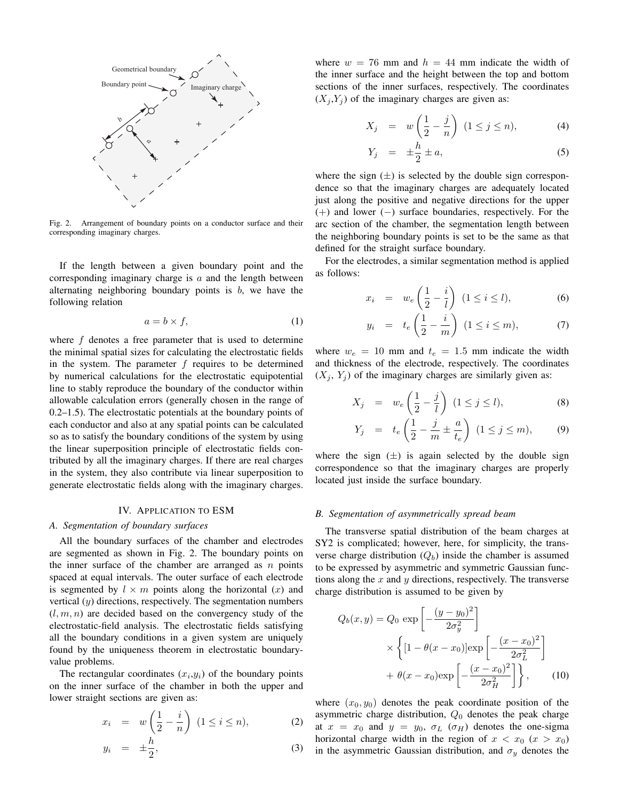

Fig. 2. Arrangement of boundary points on a conductor surface and their corresponding imaginary charges.

If the length between a given boundary point and the corresponding imaginary charge is *a* and the length between alternating neighboring boundary points is *b*, we have the following relation

$$
a = b \times f,\tag{1}
$$

where *f* denotes a free parameter that is used to determine the minimal spatial sizes for calculating the electrostatic fields in the system. The parameter *f* requires to be determined by numerical calculations for the electrostatic equipotential line to stably reproduce the boundary of the conductor within allowable calculation errors (generally chosen in the range of 0.2–1.5). The electrostatic potentials at the boundary points of each conductor and also at any spatial points can be calculated so as to satisfy the boundary conditions of the system by using the linear superposition principle of electrostatic fields contributed by all the imaginary charges. If there are real charges in the system, they also contribute via linear superposition to generate electrostatic fields along with the imaginary charges.

## IV. APPLICATION TO ESM

## *A. Segmentation of boundary surfaces*

All the boundary surfaces of the chamber and electrodes are segmented as shown in Fig. 2. The boundary points on the inner surface of the chamber are arranged as *n* points spaced at equal intervals. The outer surface of each electrode is segmented by  $l \times m$  points along the horizontal  $(x)$  and vertical (*y*) directions, respectively. The segmentation numbers  $(l, m, n)$  are decided based on the convergency study of the electrostatic-field analysis. The electrostatic fields satisfying all the boundary conditions in a given system are uniquely found by the uniqueness theorem in electrostatic boundaryvalue problems.

The rectangular coordinates  $(x_i, y_i)$  of the boundary points on the inner surface of the chamber in both the upper and lower straight sections are given as:

$$
x_i = w\left(\frac{1}{2} - \frac{i}{n}\right) \ (1 \le i \le n), \tag{2}
$$

$$
y_i = \pm \frac{h}{2}, \tag{3}
$$

where  $w = 76$  mm and  $h = 44$  mm indicate the width of the inner surface and the height between the top and bottom sections of the inner surfaces, respectively. The coordinates  $(X_j, Y_j)$  of the imaginary charges are given as:

$$
X_j = w\left(\frac{1}{2} - \frac{j}{n}\right) \ (1 \le j \le n), \tag{4}
$$

$$
Y_j = \pm \frac{h}{2} \pm a,\tag{5}
$$

where the sign  $(\pm)$  is selected by the double sign correspondence so that the imaginary charges are adequately located just along the positive and negative directions for the upper (+) and lower (*−*) surface boundaries, respectively. For the arc section of the chamber, the segmentation length between the neighboring boundary points is set to be the same as that defined for the straight surface boundary.

For the electrodes, a similar segmentation method is applied as follows:

$$
x_i = w_e \left(\frac{1}{2} - \frac{i}{l}\right) (1 \le i \le l), \tag{6}
$$

$$
y_i = t_e \left(\frac{1}{2} - \frac{i}{m}\right) (1 \le i \le m), \tag{7}
$$

where  $w_e = 10$  mm and  $t_e = 1.5$  mm indicate the width and thickness of the electrode, respectively. The coordinates  $(X_i, Y_i)$  of the imaginary charges are similarly given as:

$$
X_j = w_e \left(\frac{1}{2} - \frac{j}{l}\right) (1 \le j \le l), \tag{8}
$$

$$
Y_j = t_e \left( \frac{1}{2} - \frac{j}{m} \pm \frac{a}{t_e} \right) (1 \le j \le m), \quad (9)
$$

where the sign  $(\pm)$  is again selected by the double sign correspondence so that the imaginary charges are properly located just inside the surface boundary.

## *B. Segmentation of asymmetrically spread beam*

The transverse spatial distribution of the beam charges at SY2 is complicated; however, here, for simplicity, the transverse charge distribution  $(Q_b)$  inside the chamber is assumed to be expressed by asymmetric and symmetric Gaussian functions along the *x* and *y* directions, respectively. The transverse charge distribution is assumed to be given by

$$
Q_b(x,y) = Q_0 \exp\left[-\frac{(y-y_0)^2}{2\sigma_y^2}\right]
$$

$$
\times \left\{ [1 - \theta(x-x_0)] \exp\left[-\frac{(x-x_0)^2}{2\sigma_L^2}\right] + \theta(x-x_0) \exp\left[-\frac{(x-x_0)^2}{2\sigma_H^2}\right] \right\}, \quad (10)
$$

where  $(x_0, y_0)$  denotes the peak coordinate position of the asymmetric charge distribution, *Q*<sup>0</sup> denotes the peak charge at  $x = x_0$  and  $y = y_0$ ,  $\sigma_L$  ( $\sigma_H$ ) denotes the one-sigma horizontal charge width in the region of  $x < x_0$  ( $x > x_0$ ) in the asymmetric Gaussian distribution, and  $\sigma_y$  denotes the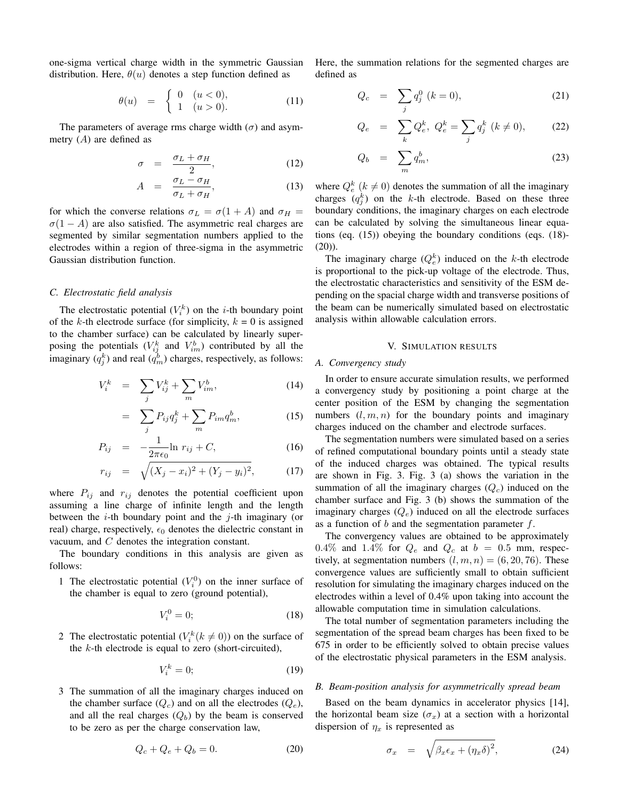one-sigma vertical charge width in the symmetric Gaussian distribution. Here,  $\theta(u)$  denotes a step function defined as

$$
\theta(u) = \begin{cases} 0 & (u < 0), \\ 1 & (u > 0). \end{cases}
$$
 (11)

The parameters of average rms charge width  $(\sigma)$  and asymmetry (*A*) are defined as

$$
\sigma = \frac{\sigma_L + \sigma_H}{2}, \qquad (12)
$$

$$
A = \frac{\sigma_L - \sigma_H}{\sigma_L + \sigma_H}, \tag{13}
$$

for which the converse relations  $\sigma_L = \sigma(1 + A)$  and  $\sigma_H =$  $\sigma(1 - A)$  are also satisfied. The asymmetric real charges are segmented by similar segmentation numbers applied to the electrodes within a region of three-sigma in the asymmetric Gaussian distribution function.

## *C. Electrostatic field analysis*

The electrostatic potential  $(V_i^k)$  on the *i*-th boundary point of the *k*-th electrode surface (for simplicity,  $k = 0$  is assigned to the chamber surface) can be calculated by linearly superposing the potentials  $(V_{ij}^k$  and  $V_{im}^b)$  contributed by all the imaginary  $(q_j^k)$  and real  $(q_m^b)$  charges, respectively, as follows:

$$
V_i^k = \sum_j V_{ij}^k + \sum_m V_{im}^b,
$$
\n(14)

$$
= \sum_{j} P_{ij} q_j^k + \sum_{m} P_{im} q_m^b, \qquad (15)
$$

$$
P_{ij} = -\frac{1}{2\pi\epsilon_0} \ln r_{ij} + C,
$$
 (16)

$$
r_{ij} = \sqrt{(X_j - x_i)^2 + (Y_j - y_i)^2}, \tag{17}
$$

where  $P_{ij}$  and  $r_{ij}$  denotes the potential coefficient upon assuming a line charge of infinite length and the length between the *i*-th boundary point and the *j*-th imaginary (or real) charge, respectively,  $\epsilon_0$  denotes the dielectric constant in vacuum, and *C* denotes the integration constant.

The boundary conditions in this analysis are given as follows:

1 The electrostatic potential  $(V_i^0)$  on the inner surface of the chamber is equal to zero (ground potential),

$$
V_i^0 = 0;\t\t(18)
$$

2 The electrostatic potential  $(V_i^k(k \neq 0))$  on the surface of the *k*-th electrode is equal to zero (short-circuited),

$$
V_i^k = 0;\t\t(19)
$$

3 The summation of all the imaginary charges induced on the chamber surface  $(Q_c)$  and on all the electrodes  $(Q_e)$ , and all the real charges  $(Q_b)$  by the beam is conserved to be zero as per the charge conservation law,

$$
Q_c + Q_e + Q_b = 0.
$$
 (20)

Here, the summation relations for the segmented charges are defined as

$$
Q_c = \sum_j q_j^0 \ (k=0), \tag{21}
$$

$$
Q_e = \sum_k Q_e^k, \ Q_e^k = \sum_j q_j^k \ (k \neq 0), \tag{22}
$$

$$
Q_b = \sum_m q_m^b, \tag{23}
$$

where  $Q_e^k$  ( $k \neq 0$ ) denotes the summation of all the imaginary charges  $(q_j^k)$  on the *k*-th electrode. Based on these three boundary conditions, the imaginary charges on each electrode can be calculated by solving the simultaneous linear equations (eq. (15)) obeying the boundary conditions (eqs. (18)-  $(20)$ ).

The imaginary charge  $(Q_e^k)$  induced on the *k*-th electrode is proportional to the pick-up voltage of the electrode. Thus, the electrostatic characteristics and sensitivity of the ESM depending on the spacial charge width and transverse positions of the beam can be numerically simulated based on electrostatic analysis within allowable calculation errors.

## V. SIMULATION RESULTS

## *A. Convergency study*

In order to ensure accurate simulation results, we performed a convergency study by positioning a point charge at the center position of the ESM by changing the segmentation numbers  $(l, m, n)$  for the boundary points and imaginary charges induced on the chamber and electrode surfaces.

The segmentation numbers were simulated based on a series of refined computational boundary points until a steady state of the induced charges was obtained. The typical results are shown in Fig. 3. Fig. 3 (a) shows the variation in the summation of all the imaginary charges  $(Q_c)$  induced on the chamber surface and Fig. 3 (b) shows the summation of the imaginary charges (*Qe*) induced on all the electrode surfaces as a function of *b* and the segmentation parameter *f*.

The convergency values are obtained to be approximately  $0.4\%$  and  $1.4\%$  for  $Q_e$  and  $Q_c$  at  $b = 0.5$  mm, respectively, at segmentation numbers  $(l, m, n) = (6, 20, 76)$ . These convergence values are sufficiently small to obtain sufficient resolution for simulating the imaginary charges induced on the electrodes within a level of 0.4% upon taking into account the allowable computation time in simulation calculations.

The total number of segmentation parameters including the segmentation of the spread beam charges has been fixed to be 675 in order to be efficiently solved to obtain precise values of the electrostatic physical parameters in the ESM analysis.

## *B. Beam-position analysis for asymmetrically spread beam*

Based on the beam dynamics in accelerator physics [14], the horizontal beam size  $(\sigma_x)$  at a section with a horizontal dispersion of  $\eta_x$  is represented as

$$
\sigma_x = \sqrt{\beta_x \epsilon_x + (\eta_x \delta)^2}, \tag{24}
$$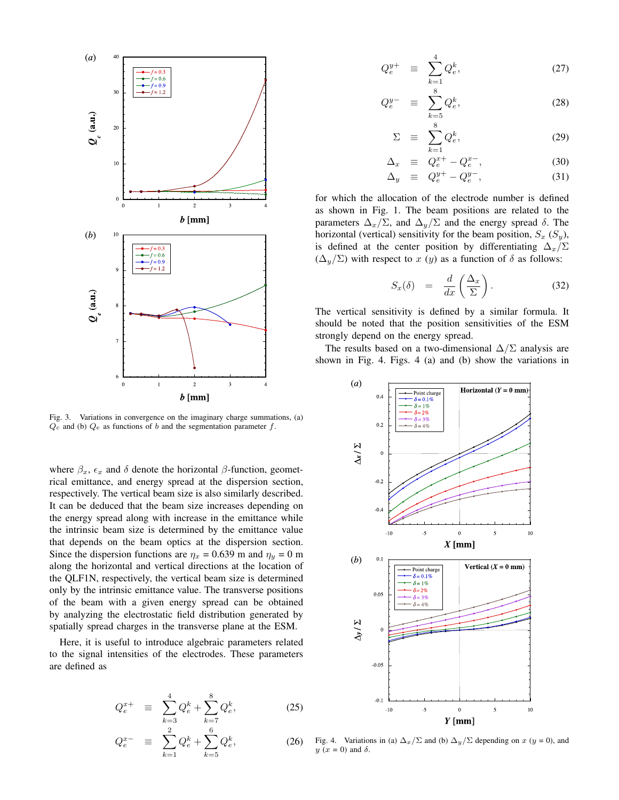

Fig. 3. Variations in convergence on the imaginary charge summations, (a)  $Q_c$  and (b)  $Q_e$  as functions of *b* and the segmentation parameter  $f$ .

where  $\beta_x$ ,  $\epsilon_x$  and  $\delta$  denote the horizontal  $\beta$ -function, geometrical emittance, and energy spread at the dispersion section, respectively. The vertical beam size is also similarly described. It can be deduced that the beam size increases depending on the energy spread along with increase in the emittance while the intrinsic beam size is determined by the emittance value that depends on the beam optics at the dispersion section. Since the dispersion functions are  $\eta_x = 0.639$  m and  $\eta_y = 0$  m along the horizontal and vertical directions at the location of the QLF1N, respectively, the vertical beam size is determined only by the intrinsic emittance value. The transverse positions of the beam with a given energy spread can be obtained by analyzing the electrostatic field distribution generated by spatially spread charges in the transverse plane at the ESM.

Here, it is useful to introduce algebraic parameters related to the signal intensities of the electrodes. These parameters are defined as

$$
Q_e^{x+} \equiv \sum_{k=3}^4 Q_e^k + \sum_{k=7}^8 Q_e^k, \qquad (25)
$$

$$
Q_e^{x-} \equiv \sum_{k=1}^2 Q_e^k + \sum_{k=5}^6 Q_e^k, \qquad (26)
$$

$$
Q_e^{y+} \equiv \sum_{k=1}^4 Q_e^k, \qquad (27)
$$

$$
Q_e^{y-} \equiv \sum_{k=5}^8 Q_e^k, \tag{28}
$$

$$
\Sigma \equiv \sum_{k=1}^{8} Q_e^k, \tag{29}
$$

$$
\Delta_x \equiv Q_e^{x+} - Q_e^{x-}, \qquad (30)
$$

$$
\Delta_y \equiv Q_e^{y+} - Q_e^{y-}, \qquad (31)
$$

for which the allocation of the electrode number is defined as shown in Fig. 1. The beam positions are related to the parameters  $\Delta_x/\Sigma$ , and  $\Delta_y/\Sigma$  and the energy spread *δ*. The horizontal (vertical) sensitivity for the beam position,  $S_x$  ( $S_y$ ), is defined at the center position by differentiating  $\Delta_x/\Sigma$  $(\Delta_y/\Sigma)$  with respect to *x* (*y*) as a function of  $\delta$  as follows:

$$
S_x(\delta) = \frac{d}{dx} \left( \frac{\Delta_x}{\Sigma} \right). \tag{32}
$$

The vertical sensitivity is defined by a similar formula. It should be noted that the position sensitivities of the ESM strongly depend on the energy spread.

The results based on a two-dimensional ∆*/*Σ analysis are shown in Fig. 4. Figs. 4 (a) and (b) show the variations in



Fig. 4. Variations in (a)  $\Delta_x/\Sigma$  and (b)  $\Delta_y/\Sigma$  depending on *x* (*y* = 0), and  $y(x = 0)$  and  $\delta$ .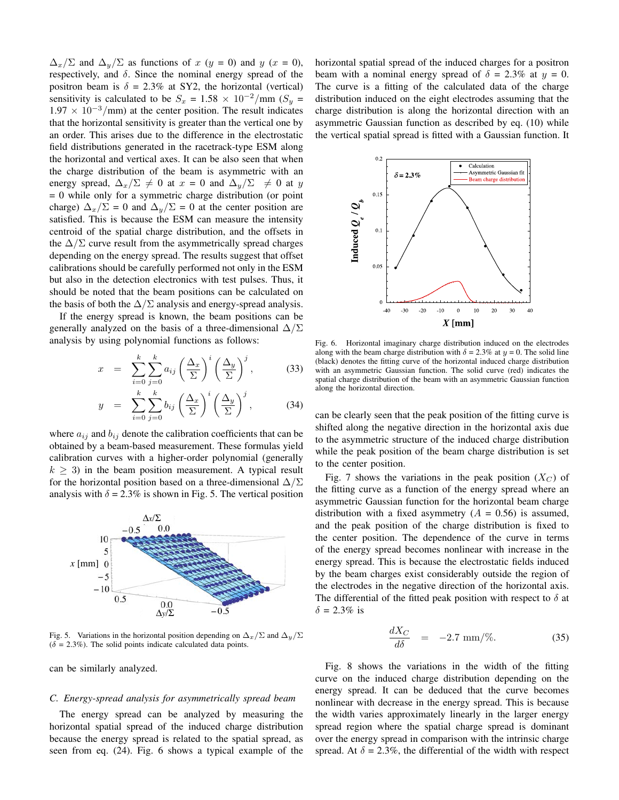$\Delta_x/\Sigma$  and  $\Delta_y/\Sigma$  as functions of *x* (*y* = 0) and *y* (*x* = 0), respectively, and *δ*. Since the nominal energy spread of the positron beam is  $\delta = 2.3\%$  at SY2, the horizontal (vertical) sensitivity is calculated to be  $S_x = 1.58 \times 10^{-2} / \text{mm}$  ( $S_y =$ 1.97 *<sup>×</sup>* <sup>10</sup>*−*<sup>3</sup>*/*mm) at the center position. The result indicates that the horizontal sensitivity is greater than the vertical one by an order. This arises due to the difference in the electrostatic field distributions generated in the racetrack-type ESM along the horizontal and vertical axes. It can be also seen that when the charge distribution of the beam is asymmetric with an energy spread,  $\Delta_x/\Sigma \neq 0$  at  $x = 0$  and  $\Delta_y/\Sigma \neq 0$  at *y* = 0 while only for a symmetric charge distribution (or point charge)  $\Delta_x/\Sigma = 0$  and  $\Delta_y/\Sigma = 0$  at the center position are satisfied. This is because the ESM can measure the intensity centroid of the spatial charge distribution, and the offsets in the  $\Delta/\Sigma$  curve result from the asymmetrically spread charges depending on the energy spread. The results suggest that offset calibrations should be carefully performed not only in the ESM but also in the detection electronics with test pulses. Thus, it should be noted that the beam positions can be calculated on the basis of both the ∆*/*Σ analysis and energy-spread analysis.

If the energy spread is known, the beam positions can be generally analyzed on the basis of a three-dimensional ∆*/*Σ analysis by using polynomial functions as follows:

$$
x = \sum_{i=0}^{k} \sum_{j=0}^{k} a_{ij} \left(\frac{\Delta_x}{\Sigma}\right)^i \left(\frac{\Delta_y}{\Sigma}\right)^j, \tag{33}
$$

$$
y = \sum_{i=0}^{k} \sum_{j=0}^{k} b_{ij} \left(\frac{\Delta_x}{\Sigma}\right)^i \left(\frac{\Delta_y}{\Sigma}\right)^j, \tag{34}
$$

where  $a_{ij}$  and  $b_{ij}$  denote the calibration coefficients that can be obtained by a beam-based measurement. These formulas yield calibration curves with a higher-order polynomial (generally  $k \geq 3$ ) in the beam position measurement. A typical result for the horizontal position based on a three-dimensional ∆*/*Σ analysis with  $\delta = 2.3\%$  is shown in Fig. 5. The vertical position



Fig. 5. Variations in the horizontal position depending on  $\Delta_x/\Sigma$  and  $\Delta_y/\Sigma$  $(\delta = 2.3\%)$ . The solid points indicate calculated data points.

can be similarly analyzed.

## *C. Energy-spread analysis for asymmetrically spread beam*

The energy spread can be analyzed by measuring the horizontal spatial spread of the induced charge distribution because the energy spread is related to the spatial spread, as seen from eq. (24). Fig. 6 shows a typical example of the horizontal spatial spread of the induced charges for a positron beam with a nominal energy spread of  $\delta = 2.3\%$  at  $y = 0$ . The curve is a fitting of the calculated data of the charge distribution induced on the eight electrodes assuming that the charge distribution is along the horizontal direction with an asymmetric Gaussian function as described by eq. (10) while the vertical spatial spread is fitted with a Gaussian function. It



Fig. 6. Horizontal imaginary charge distribution induced on the electrodes along with the beam charge distribution with  $\delta = 2.3\%$  at  $y = 0$ . The solid line (black) denotes the fitting curve of the horizontal induced charge distribution with an asymmetric Gaussian function. The solid curve (red) indicates the spatial charge distribution of the beam with an asymmetric Gaussian function along the horizontal direction.

can be clearly seen that the peak position of the fitting curve is shifted along the negative direction in the horizontal axis due to the asymmetric structure of the induced charge distribution while the peak position of the beam charge distribution is set to the center position.

Fig. 7 shows the variations in the peak position  $(X_C)$  of the fitting curve as a function of the energy spread where an asymmetric Gaussian function for the horizontal beam charge distribution with a fixed asymmetry  $(A = 0.56)$  is assumed, and the peak position of the charge distribution is fixed to the center position. The dependence of the curve in terms of the energy spread becomes nonlinear with increase in the energy spread. This is because the electrostatic fields induced by the beam charges exist considerably outside the region of the electrodes in the negative direction of the horizontal axis. The differential of the fitted peak position with respect to *δ* at  $\delta = 2.3\%$  is

$$
\frac{dX_C}{d\delta} = -2.7 \text{ mm}/\%.
$$
\n(35)

Fig. 8 shows the variations in the width of the fitting curve on the induced charge distribution depending on the energy spread. It can be deduced that the curve becomes nonlinear with decrease in the energy spread. This is because the width varies approximately linearly in the larger energy spread region where the spatial charge spread is dominant over the energy spread in comparison with the intrinsic charge spread. At  $\delta = 2.3\%$ , the differential of the width with respect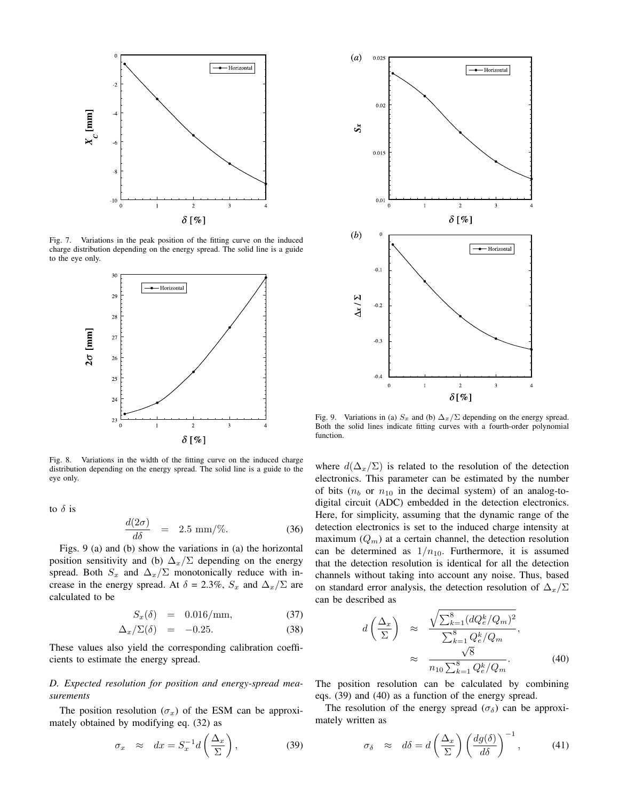

Fig. 7. Variations in the peak position of the fitting curve on the induced charge distribution depending on the energy spread. The solid line is a guide to the eye only.



Fig. 8. Variations in the width of the fitting curve on the induced charge distribution depending on the energy spread. The solid line is a guide to the eye only.

to  $\delta$  is

$$
\frac{d(2\sigma)}{d\delta} = 2.5 \text{ mm}/\%.
$$
 (36)

Figs. 9 (a) and (b) show the variations in (a) the horizontal position sensitivity and (b)  $\Delta_x/\Sigma$  depending on the energy spread. Both  $S_x$  and  $\Delta_x/\Sigma$  monotonically reduce with increase in the energy spread. At  $\delta = 2.3\%$ ,  $S_x$  and  $\Delta_x/\Sigma$  are calculated to be

$$
S_x(\delta) = 0.016/\text{mm}, \tag{37}
$$

$$
\Delta_x/\Sigma(\delta) = -0.25. \tag{38}
$$

These values also yield the corresponding calibration coefficients to estimate the energy spread.

# *D. Expected resolution for position and energy-spread measurements*

The position resolution  $(\sigma_x)$  of the ESM can be approximately obtained by modifying eq. (32) as

$$
\sigma_x \approx dx = S_x^{-1} d\left(\frac{\Delta_x}{\Sigma}\right), \tag{39}
$$



Fig. 9. Variations in (a)  $S_x$  and (b)  $\Delta_x/\Sigma$  depending on the energy spread. Both the solid lines indicate fitting curves with a fourth-order polynomial function.

where  $d(\Delta_x/\Sigma)$  is related to the resolution of the detection electronics. This parameter can be estimated by the number of bits  $(n_b$  or  $n_{10}$  in the decimal system) of an analog-todigital circuit (ADC) embedded in the detection electronics. Here, for simplicity, assuming that the dynamic range of the detection electronics is set to the induced charge intensity at maximum  $(Q_m)$  at a certain channel, the detection resolution can be determined as  $1/n_{10}$ . Furthermore, it is assumed that the detection resolution is identical for all the detection channels without taking into account any noise. Thus, based on standard error analysis, the detection resolution of ∆*x/*Σ can be described as

$$
d\left(\frac{\Delta_x}{\Sigma}\right) \approx \frac{\sqrt{\sum_{k=1}^8 (dQ_e^k/Q_m)^2}}{\sum_{k=1}^8 Q_e^k/Q_m},
$$
  

$$
\approx \frac{\sqrt{8}}{n_{10} \sum_{k=1}^8 Q_e^k/Q_m}.
$$
 (40)

The position resolution can be calculated by combining eqs. (39) and (40) as a function of the energy spread.

The resolution of the energy spread  $(\sigma_{\delta})$  can be approximately written as

$$
\sigma_{\delta} \quad \approx \quad d\delta = d\left(\frac{\Delta_x}{\Sigma}\right) \left(\frac{dg(\delta)}{d\delta}\right)^{-1},\tag{41}
$$